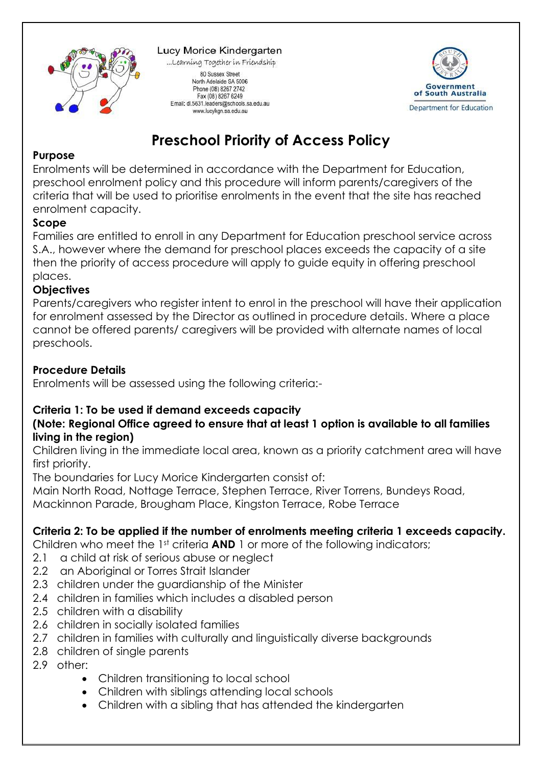

#### Lucy Morice Kindergarten

...Learning Together in Friendship 80 Sussex Street North Adelaide SA 5006 Phone (08) 8267 2742 Fax (08) 8267 6249 Email: dl.5631.leaders@schools.sa.edu.au

www.lucykgn.sa.edu.au



# **Preschool Priority of Access Policy**

#### **Purpose**

Enrolments will be determined in accordance with the Department for Education, preschool enrolment policy and this procedure will inform parents/caregivers of the criteria that will be used to prioritise enrolments in the event that the site has reached enrolment capacity.

#### **Scope**

Families are entitled to enroll in any Department for Education preschool service across S.A., however where the demand for preschool places exceeds the capacity of a site then the priority of access procedure will apply to guide equity in offering preschool places.

#### **Objectives**

Parents/caregivers who register intent to enrol in the preschool will have their application for enrolment assessed by the Director as outlined in procedure details. Where a place cannot be offered parents/ caregivers will be provided with alternate names of local preschools.

#### **Procedure Details**

Enrolments will be assessed using the following criteria:-

## **Criteria 1: To be used if demand exceeds capacity**

## **(Note: Regional Office agreed to ensure that at least 1 option is available to all families living in the region)**

Children living in the immediate local area, known as a priority catchment area will have first priority.

The boundaries for Lucy Morice Kindergarten consist of:

Main North Road, Nottage Terrace, Stephen Terrace, River Torrens, Bundeys Road,

Mackinnon Parade, Brougham Place, Kingston Terrace, Robe Terrace

## **Criteria 2: To be applied if the number of enrolments meeting criteria 1 exceeds capacity.**

Children who meet the 1st criteria **AND** 1 or more of the following indicators;

- 2.1 a child at risk of serious abuse or nealect
- 2.2 an Aboriginal or Torres Strait Islander
- 2.3 children under the guardianship of the Minister
- 2.4 children in families which includes a disabled person
- 2.5 children with a disability
- 2.6 children in socially isolated families
- 2.7 children in families with culturally and linguistically diverse backgrounds
- 2.8 children of single parents
- 2.9 other:
	- Children transitioning to local school
	- Children with siblings attending local schools
	- Children with a sibling that has attended the kindergarten